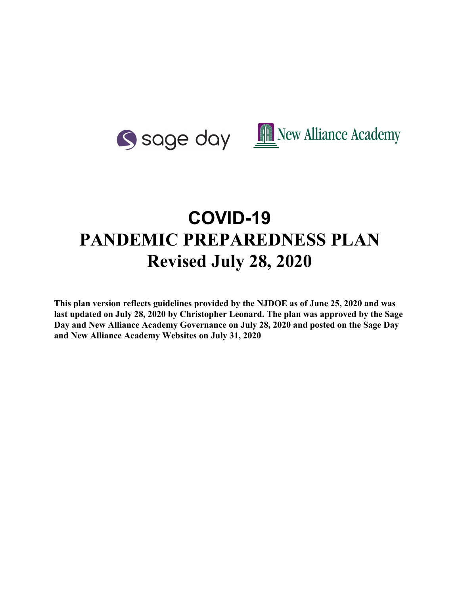

# **COVID-19 PANDEMIC PREPAREDNESS PLAN Revised July 28, 2020**

**This plan version reflects guidelines provided by the NJDOE as of June 25, 2020 and was last updated on July 28, 2020 by Christopher Leonard. The plan was approved by the Sage Day and New Alliance Academy Governance on July 28, 2020 and posted on the Sage Day and New Alliance Academy Websites on July 31, 2020**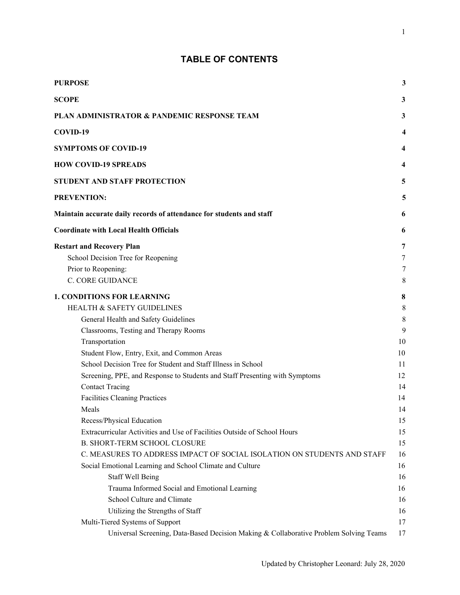# **TABLE OF CONTENTS**

| <b>PURPOSE</b>                                                                        | 3              |
|---------------------------------------------------------------------------------------|----------------|
|                                                                                       |                |
| <b>SCOPE</b>                                                                          | 3              |
| PLAN ADMINISTRATOR & PANDEMIC RESPONSE TEAM                                           | 3              |
| COVID-19                                                                              | 4              |
| <b>SYMPTOMS OF COVID-19</b>                                                           | 4              |
| <b>HOW COVID-19 SPREADS</b>                                                           | 4              |
| <b>STUDENT AND STAFF PROTECTION</b>                                                   | 5              |
| <b>PREVENTION:</b>                                                                    | 5              |
| Maintain accurate daily records of attendance for students and staff                  | 6              |
| <b>Coordinate with Local Health Officials</b>                                         | 6              |
| <b>Restart and Recovery Plan</b>                                                      | 7              |
| School Decision Tree for Reopening                                                    | $\overline{7}$ |
| Prior to Reopening:                                                                   | 7              |
| <b>C. CORE GUIDANCE</b>                                                               | 8              |
| <b>1. CONDITIONS FOR LEARNING</b>                                                     | 8              |
| <b>HEALTH &amp; SAFETY GUIDELINES</b>                                                 | $\,8\,$        |
| General Health and Safety Guidelines                                                  | 8              |
| Classrooms, Testing and Therapy Rooms                                                 | 9              |
| Transportation                                                                        | 10             |
| Student Flow, Entry, Exit, and Common Areas                                           | 10             |
| School Decision Tree for Student and Staff Illness in School                          | 11             |
| Screening, PPE, and Response to Students and Staff Presenting with Symptoms           | 12             |
| <b>Contact Tracing</b>                                                                | 14             |
| <b>Facilities Cleaning Practices</b>                                                  | 14             |
| Meals                                                                                 | 14             |
| Recess/Physical Education                                                             | 15             |
| Extracurricular Activities and Use of Facilities Outside of School Hours              | 15             |
| <b>B. SHORT-TERM SCHOOL CLOSURE</b>                                                   | 15             |
| C. MEASURES TO ADDRESS IMPACT OF SOCIAL ISOLATION ON STUDENTS AND STAFF               | 16             |
| Social Emotional Learning and School Climate and Culture                              | 16             |
| <b>Staff Well Being</b>                                                               | 16             |
| Trauma Informed Social and Emotional Learning                                         | 16             |
| School Culture and Climate                                                            | 16             |
| Utilizing the Strengths of Staff                                                      | 16             |
| Multi-Tiered Systems of Support                                                       | 17             |
| Universal Screening, Data-Based Decision Making & Collaborative Problem Solving Teams | 17             |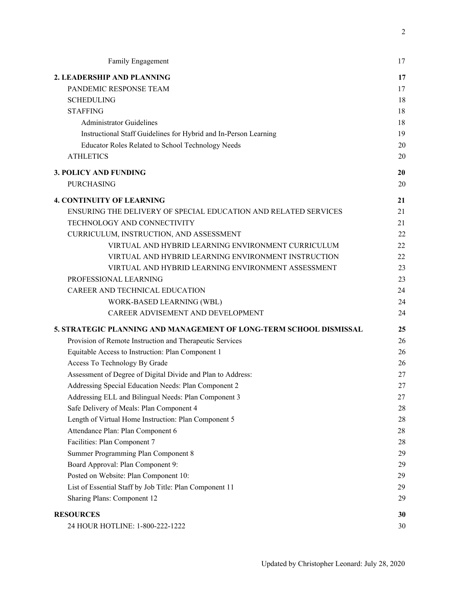| Family Engagement                                                  | 17 |
|--------------------------------------------------------------------|----|
| 2. LEADERSHIP AND PLANNING                                         | 17 |
| PANDEMIC RESPONSE TEAM                                             | 17 |
| <b>SCHEDULING</b>                                                  | 18 |
| <b>STAFFING</b>                                                    | 18 |
| <b>Administrator Guidelines</b>                                    | 18 |
| Instructional Staff Guidelines for Hybrid and In-Person Learning   | 19 |
| Educator Roles Related to School Technology Needs                  | 20 |
| <b>ATHLETICS</b>                                                   | 20 |
| <b>3. POLICY AND FUNDING</b>                                       | 20 |
| <b>PURCHASING</b>                                                  | 20 |
| <b>4. CONTINUITY OF LEARNING</b>                                   | 21 |
| ENSURING THE DELIVERY OF SPECIAL EDUCATION AND RELATED SERVICES    | 21 |
| TECHNOLOGY AND CONNECTIVITY                                        | 21 |
| CURRICULUM, INSTRUCTION, AND ASSESSMENT                            | 22 |
| VIRTUAL AND HYBRID LEARNING ENVIRONMENT CURRICULUM                 | 22 |
| VIRTUAL AND HYBRID LEARNING ENVIRONMENT INSTRUCTION                | 22 |
| VIRTUAL AND HYBRID LEARNING ENVIRONMENT ASSESSMENT                 | 23 |
| PROFESSIONAL LEARNING                                              | 23 |
| CAREER AND TECHNICAL EDUCATION                                     | 24 |
| WORK-BASED LEARNING (WBL)                                          | 24 |
| CAREER ADVISEMENT AND DEVELOPMENT                                  | 24 |
| 5. STRATEGIC PLANNING AND MANAGEMENT OF LONG-TERM SCHOOL DISMISSAL | 25 |
| Provision of Remote Instruction and Therapeutic Services           | 26 |
| Equitable Access to Instruction: Plan Component 1                  | 26 |
| Access To Technology By Grade                                      | 26 |
| Assessment of Degree of Digital Divide and Plan to Address:        | 27 |
| Addressing Special Education Needs: Plan Component 2               | 27 |
| Addressing ELL and Bilingual Needs: Plan Component 3               | 27 |
| Safe Delivery of Meals: Plan Component 4                           | 28 |
| Length of Virtual Home Instruction: Plan Component 5               | 28 |
| Attendance Plan: Plan Component 6                                  | 28 |
| Facilities: Plan Component 7                                       | 28 |
| Summer Programming Plan Component 8                                | 29 |
| Board Approval: Plan Component 9:                                  | 29 |
| Posted on Website: Plan Component 10:                              | 29 |
| List of Essential Staff by Job Title: Plan Component 11            | 29 |
| Sharing Plans: Component 12                                        | 29 |
| <b>RESOURCES</b>                                                   | 30 |
| 24 HOUR HOTLINE: 1-800-222-1222                                    | 30 |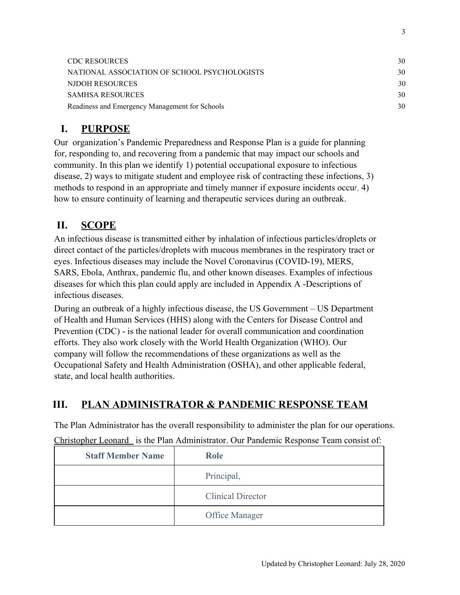| <b>CDC RESOURCES</b>                           | 30 |
|------------------------------------------------|----|
| NATIONAL ASSOCIATION OF SCHOOL PSYCHOLOGISTS   | 30 |
| NJDOH RESOURCES                                | 30 |
| <b>SAMHSA RESOURCES</b>                        | 30 |
| Readiness and Emergency Management for Schools | 30 |

# <span id="page-3-0"></span>**I. PURPOSE**

Our organization's Pandemic Preparedness and Response Plan is a guide for planning for, responding to, and recovering from a pandemic that may impact our schools and community. In this plan we identify 1) potential occupational exposure to infectious disease, 2) ways to mitigate student and employee risk of contracting these infections, 3) methods to respond in an appropriate and timely manner if exposure incidents occur, 4) how to ensure continuity of learning and therapeutic services during an outbreak.

# <span id="page-3-1"></span>**II. SCOPE**

An infectious disease is transmitted either by inhalation of infectious particles/droplets or direct contact of the particles/droplets with mucous membranes in the respiratory tract or eyes. Infectious diseases may include the Novel Coronavirus (COVID-19), MERS, SARS, Ebola, Anthrax, pandemic flu, and other known diseases. Examples of infectious diseases for which this plan could apply are included in Appendix A -Descriptions of infectious diseases.

During an outbreak of a highly infectious disease, the US Government – US Department of Health and Human Services (HHS) along with the Centers for Disease Control and Prevention (CDC) - is the national leader for overall communication and coordination efforts. They also work closely with the World Health Organization (WHO). Our company will follow the recommendations of these organizations as well as the Occupational Safety and Health Administration (OSHA), and other applicable federal, state, and local health authorities.

# <span id="page-3-2"></span>**III. PLAN ADMINISTRATOR & PANDEMIC RESPONSE TEAM**

The Plan Administrator has the overall responsibility to administer the plan for our operations. Christopher Leonard is the Plan Administrator. Our Pandemic Response Team consist of:

| <b>Staff Member Name</b> | Role                     |
|--------------------------|--------------------------|
|                          | Principal,               |
|                          | <b>Clinical Director</b> |
|                          | Office Manager           |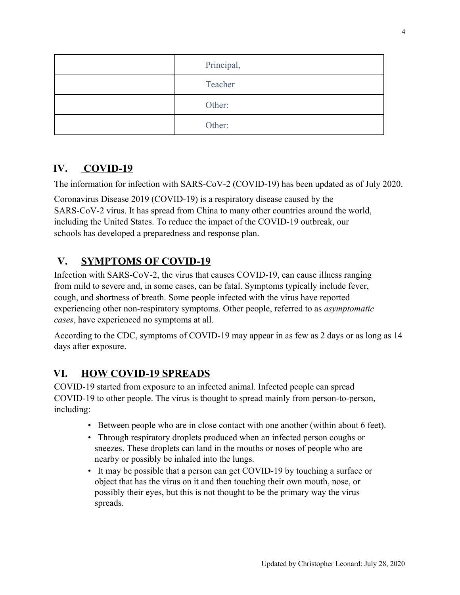| Principal, |
|------------|
| Teacher    |
| Other:     |
| Other:     |

# <span id="page-4-0"></span>**IV. COVID-19**

The information for infection with SARS-CoV-2 (COVID-19) has been updated as of July 2020.

Coronavirus Disease 2019 (COVID-19) is a respiratory disease caused by the SARS-CoV-2 virus. It has spread from China to many other countries around the world, including the United States. To reduce the impact of the COVID-19 outbreak, our schools has developed a preparedness and response plan.

# <span id="page-4-1"></span>**V. SYMPTOMS OF COVID-19**

Infection with SARS-CoV-2, the virus that causes COVID-19, can cause illness ranging from mild to severe and, in some cases, can be fatal. Symptoms typically include fever, cough, and shortness of breath. Some people infected with the virus have reported experiencing other non-respiratory symptoms. Other people, referred to as *asymptomatic cases*, have experienced no symptoms at all.

According to the CDC, symptoms of COVID-19 may appear in as few as 2 days or as long as 14 days after exposure.

# <span id="page-4-2"></span>**VI. HOW COVID-19 SPREADS**

COVID-19 started from exposure to an infected animal. Infected people can spread COVID-19 to other people. The virus is thought to spread mainly from person-to-person, including:

- Between people who are in close contact with one another (within about 6 feet).
- Through respiratory droplets produced when an infected person coughs or sneezes. These droplets can land in the mouths or noses of people who are nearby or possibly be inhaled into the lungs.
- It may be possible that a person can get COVID-19 by touching a surface or object that has the virus on it and then touching their own mouth, nose, or possibly their eyes, but this is not thought to be the primary way the virus spreads.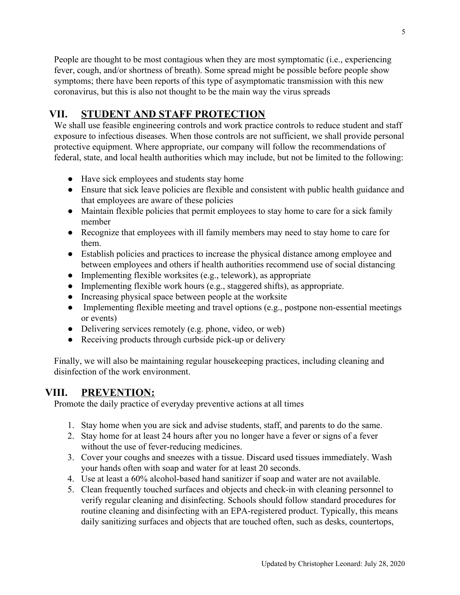People are thought to be most contagious when they are most symptomatic (i.e., experiencing fever, cough, and/or shortness of breath). Some spread might be possible before people show symptoms; there have been reports of this type of asymptomatic transmission with this new coronavirus, but this is also not thought to be the main way the virus spreads

# <span id="page-5-0"></span>**VII. STUDENT AND STAFF PROTECTION**

We shall use feasible engineering controls and work practice controls to reduce student and staff exposure to infectious diseases. When those controls are not sufficient, we shall provide personal protective equipment. Where appropriate, our company will follow the recommendations of federal, state, and local health authorities which may include, but not be limited to the following:

- Have sick employees and students stay home
- Ensure that sick leave policies are flexible and consistent with public health guidance and that employees are aware of these policies
- Maintain flexible policies that permit employees to stay home to care for a sick family member
- Recognize that employees with ill family members may need to stay home to care for them.
- Establish policies and practices to increase the physical distance among employee and between employees and others if health authorities recommend use of social distancing
- Implementing flexible worksites (e.g., telework), as appropriate
- Implementing flexible work hours (e.g., staggered shifts), as appropriate.
- Increasing physical space between people at the worksite
- Implementing flexible meeting and travel options (e.g., postpone non-essential meetings or events)
- Delivering services remotely (e.g. phone, video, or web)
- Receiving products through curbside pick-up or delivery

Finally, we will also be maintaining regular housekeeping practices, including cleaning and disinfection of the work environment.

# <span id="page-5-1"></span>**VIII. PREVENTION:**

Promote the daily practice of everyday preventive actions at all times

- 1. Stay home when you are sick and advise students, staff, and parents to do the same.
- 2. Stay home for at least 24 hours after you no longer have a fever or signs of a fever without the use of fever-reducing medicines.
- 3. Cover your coughs and sneezes with a tissue. Discard used tissues immediately. Wash your hands often with soap and water for at least 20 seconds.
- 4. Use at least a 60% alcohol-based hand sanitizer if soap and water are not available.
- 5. Clean frequently touched surfaces and objects and check-in with cleaning personnel to verify regular cleaning and disinfecting. Schools should follow standard procedures for routine cleaning and disinfecting with an EPA-registered product. Typically, this means daily sanitizing surfaces and objects that are touched often, such as desks, countertops,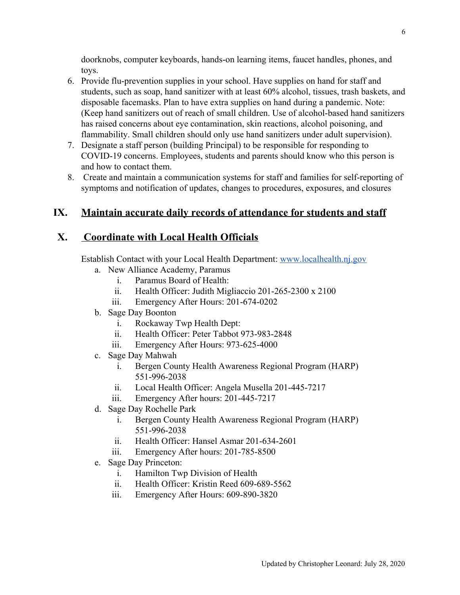doorknobs, computer keyboards, hands-on learning items, faucet handles, phones, and toys.

- 6. Provide flu-prevention supplies in your school. Have supplies on hand for staff and students, such as soap, hand sanitizer with at least 60% alcohol, tissues, trash baskets, and disposable facemasks. Plan to have extra supplies on hand during a pandemic. Note: (Keep hand sanitizers out of reach of small children. Use of alcohol-based hand sanitizers has raised concerns about eye contamination, skin reactions, alcohol poisoning, and flammability. Small children should only use hand sanitizers under adult supervision).
- 7. Designate a staff person (building Principal) to be responsible for responding to COVID-19 concerns. Employees, students and parents should know who this person is and how to contact them.
- 8. Create and maintain a communication systems for staff and families for self-reporting of symptoms and notification of updates, changes to procedures, exposures, and closures

# <span id="page-6-0"></span>**IX. Maintain accurate daily records of attendance for students and staff**

# <span id="page-6-1"></span>**X. Coordinate with Local Health Officials**

Establish Contact with your Local Health Department: [www.localhealth.nj.gov](http://www.localhealth.nj.gov/)

- a. New Alliance Academy, Paramus
	- i. Paramus Board of Health:
	- ii. Health Officer: Judith Migliaccio 201-265-2300 x 2100
	- iii. Emergency After Hours: 201-674-0202
- b. Sage Day Boonton
	- i. Rockaway Twp Health Dept:
	- ii. Health Officer: Peter Tabbot 973-983-2848
	- iii. Emergency After Hours: 973-625-4000
- c. Sage Day Mahwah
	- i. Bergen County Health Awareness Regional Program (HARP) 551-996-2038
	- ii. Local Health Officer: Angela Musella 201-445-7217
	- iii. Emergency After hours: 201-445-7217
- d. Sage Day Rochelle Park
	- i. Bergen County Health Awareness Regional Program (HARP) 551-996-2038
	- ii. Health Officer: Hansel Asmar 201-634-2601
	- iii. Emergency After hours: 201-785-8500
- e. Sage Day Princeton:
	- i. Hamilton Twp Division of Health
	- ii. Health Officer: Kristin Reed 609-689-5562
	- iii. Emergency After Hours: 609-890-3820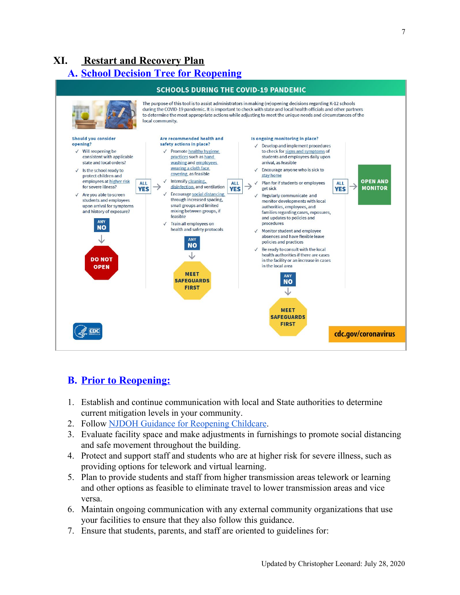# <span id="page-7-1"></span><span id="page-7-0"></span>**XI. Restart and Recovery Plan A. School Decision Tree for Reopening**



# <span id="page-7-2"></span>**B. Prior to Reopening:**

- 1. Establish and continue communication with local and State authorities to determine current mitigation levels in your community.
- 2. Follow [NJDOH Guidance for Reopening Childcare.](https://www.state.nj.us/health/cd/documents/topics/NCOV/COVID_guidance_reopening_childcare.pdf)
- 3. Evaluate facility space and make adjustments in furnishings to promote social distancing and safe movement throughout the building.
- 4. Protect and support staff and students who are at higher risk for severe illness, such as providing options for telework and virtual learning.
- 5. Plan to provide students and staff from higher transmission areas telework or learning and other options as feasible to eliminate travel to lower transmission areas and vice versa.
- 6. Maintain ongoing communication with any external community organizations that use your facilities to ensure that they also follow this guidance.
- 7. Ensure that students, parents, and staff are oriented to guidelines for: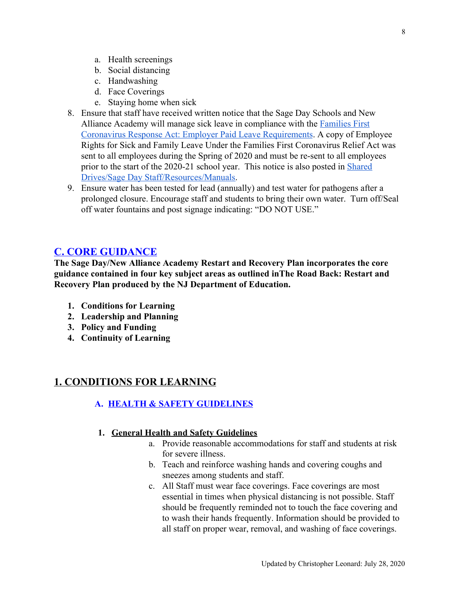- a. Health screenings
- b. Social distancing
- c. Handwashing
- d. Face Coverings
- e. Staying home when sick
- 8. Ensure that staff have received written notice that the Sage Day Schools and New Alliance Academy will manage sick leave in compliance with the **[Families First](https://www.dol.gov/agencies/whd/pandemic/ffcra-employer-paid-leave)** [Coronavirus Response Act: Employer Paid Leave Requirements](https://www.dol.gov/agencies/whd/pandemic/ffcra-employer-paid-leave). A copy of Employee Rights for Sick and Family Leave Under the Families First Coronavirus Relief Act was sent to all employees during the Spring of 2020 and must be re-sent to all employees prior to the start of the 2020-21 school year. This notice is also posted in [Shared](https://drive.google.com/drive/folders/1JW6TsAGs6HuOAeUX0-Z5886gThtlRoQS) [Drives/Sage Day Staff/Resources/Manuals.](https://drive.google.com/drive/folders/1JW6TsAGs6HuOAeUX0-Z5886gThtlRoQS)
- 9. Ensure water has been tested for lead (annually) and test water for pathogens after a prolonged closure. Encourage staff and students to bring their own water. Turn off/Seal off water fountains and post signage indicating: "DO NOT USE."

# <span id="page-8-0"></span>**C. CORE GUIDANCE**

**The Sage Day/New Alliance Academy Restart and Recovery Plan incorporates the core guidance contained in four key subject areas as outlined inThe Road Back: Restart and Recovery Plan produced by the NJ Department of Education.**

- **1. Conditions for Learning**
- **2. Leadership and Planning**
- **3. Policy and Funding**
- **4. Continuity of Learning**

# <span id="page-8-2"></span><span id="page-8-1"></span>**1. CONDITIONS FOR LEARNING**

#### **A. HEALTH & SAFETY GUIDELINES**

#### <span id="page-8-3"></span>**1. General Health and Safety Guidelines**

- a. Provide reasonable accommodations for staff and students at risk for severe illness.
- b. Teach and reinforce washing hands and covering coughs and sneezes among students and staff.
- c. All Staff must wear face coverings. Face coverings are most essential in times when physical distancing is not possible. Staff should be frequently reminded not to touch the face covering and to wash their hands frequently. Information should be provided to all staff on proper wear, removal, and washing of face coverings.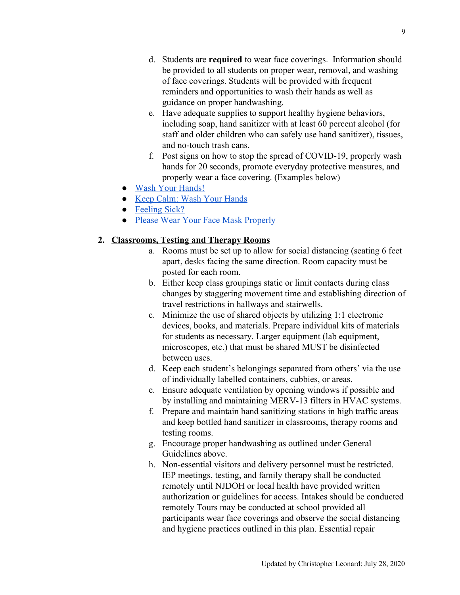- d. Students are **required** to wear face coverings. Information should be provided to all students on proper wear, removal, and washing of face coverings. Students will be provided with frequent reminders and opportunities to wash their hands as well as guidance on proper handwashing.
- e. Have adequate supplies to support healthy hygiene behaviors, including soap, hand sanitizer with at least 60 percent alcohol (for staff and older children who can safely use hand sanitizer), tissues, and no-touch trash cans.
- f. Post signs on how to stop the spread of COVID-19, properly wash hands for 20 seconds, promote everyday protective measures, and properly wear a face covering. (Examples below)
- [Wash Your Hands!](https://www.cdc.gov/handwashing/pdf/wash-your-hands-poster-english-508.pdf)
- [Keep Calm: Wash Your Hands](https://www.cdc.gov/handwashing/pdf/keep-calm-wash-your-hands_8.5x11.pdf)
- [Feeling Sick?](https://www.cdc.gov/coronavirus/2019-ncov/downloads/StayHomeFromWork.pdf)
- [Please Wear Your Face Mask Properly](https://coronavirus.delaware.gov/wp-content/uploads/sites/177/2020/05/business-signs-wear-face-mask-properly.pdf)

#### <span id="page-9-0"></span>**2. Classrooms, Testing and Therapy Rooms**

- a. Rooms must be set up to allow for social distancing (seating 6 feet apart, desks facing the same direction. Room capacity must be posted for each room.
- b. Either keep class groupings static or limit contacts during class changes by staggering movement time and establishing direction of travel restrictions in hallways and stairwells.
- c. Minimize the use of shared objects by utilizing 1:1 electronic devices, books, and materials. Prepare individual kits of materials for students as necessary. Larger equipment (lab equipment, microscopes, etc.) that must be shared MUST be disinfected between uses.
- d. Keep each student's belongings separated from others' via the use of individually labelled containers, cubbies, or areas.
- e. Ensure adequate ventilation by opening windows if possible and by installing and maintaining MERV-13 filters in HVAC systems.
- f. Prepare and maintain hand sanitizing stations in high traffic areas and keep bottled hand sanitizer in classrooms, therapy rooms and testing rooms.
- g. Encourage proper handwashing as outlined under General Guidelines above.
- h. Non-essential visitors and delivery personnel must be restricted. IEP meetings, testing, and family therapy shall be conducted remotely until NJDOH or local health have provided written authorization or guidelines for access. Intakes should be conducted remotely Tours may be conducted at school provided all participants wear face coverings and observe the social distancing and hygiene practices outlined in this plan. Essential repair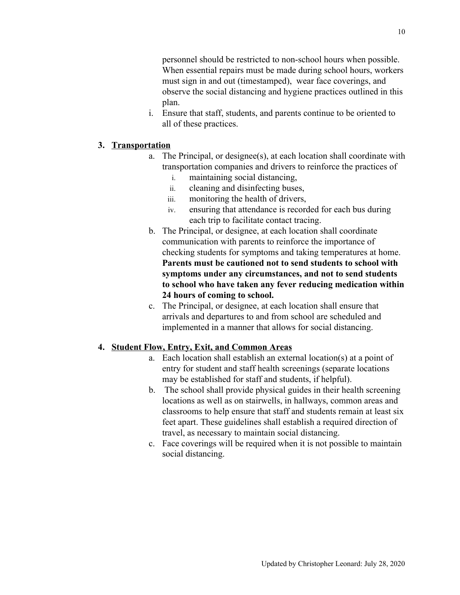personnel should be restricted to non-school hours when possible. When essential repairs must be made during school hours, workers must sign in and out (timestamped), wear face coverings, and observe the social distancing and hygiene practices outlined in this plan.

i. Ensure that staff, students, and parents continue to be oriented to all of these practices.

### <span id="page-10-0"></span>**3. Transportation**

- a. The Principal, or designee(s), at each location shall coordinate with transportation companies and drivers to reinforce the practices of
	- i. maintaining social distancing,
	- ii. cleaning and disinfecting buses,
	- iii. monitoring the health of drivers,
	- iv. ensuring that attendance is recorded for each bus during each trip to facilitate contact tracing.
- b. The Principal, or designee, at each location shall coordinate communication with parents to reinforce the importance of checking students for symptoms and taking temperatures at home. **Parents must be cautioned not to send students to school with symptoms under any circumstances, and not to send students to school who have taken any fever reducing medication within 24 hours of coming to school.**
- c. The Principal, or designee, at each location shall ensure that arrivals and departures to and from school are scheduled and implemented in a manner that allows for social distancing.

#### <span id="page-10-1"></span>**4. Student Flow, Entry, Exit, and Common Areas**

- a. Each location shall establish an external location(s) at a point of entry for student and staff health screenings (separate locations may be established for staff and students, if helpful).
- b. The school shall provide physical guides in their health screening locations as well as on stairwells, in hallways, common areas and classrooms to help ensure that staff and students remain at least six feet apart. These guidelines shall establish a required direction of travel, as necessary to maintain social distancing.
- c. Face coverings will be required when it is not possible to maintain social distancing.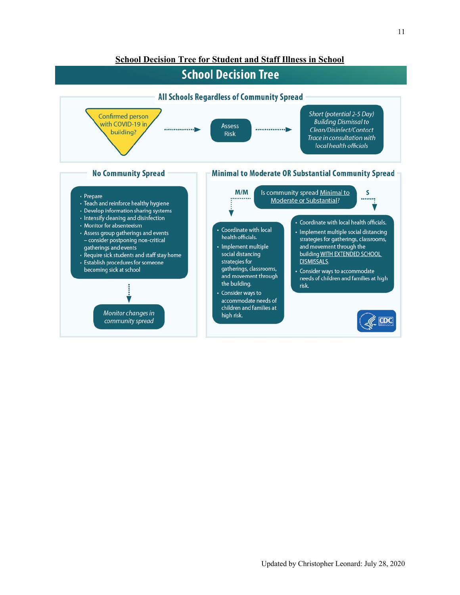#### **School Decision Tree for Student and Staff Illness in School**

# **School Decision Tree**

<span id="page-11-0"></span>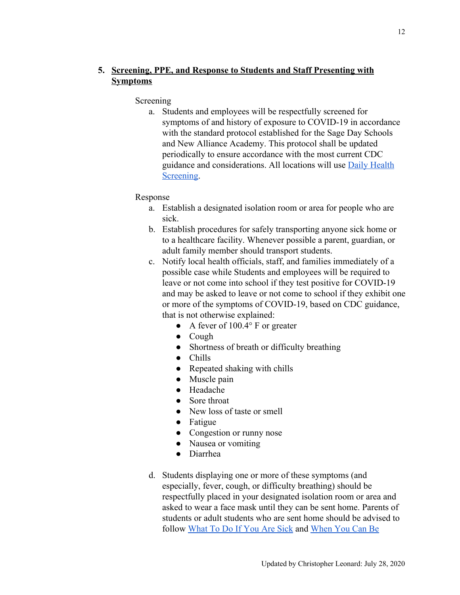# <span id="page-12-0"></span>**5. Screening, PPE, and Response to Students and Staff Presenting with Symptoms**

#### Screening

a. Students and employees will be respectfully screened for symptoms of and history of exposure to COVID-19 in accordance with the standard protocol established for the Sage Day Schools and New Alliance Academy. This protocol shall be updated periodically to ensure accordance with the most current CDC guidance and considerations. All locations will use [Daily Health](https://docs.google.com/forms/d/1U6GBa4nFTFfy8_h9Ur9bGPuB1tDTOSR-tBZh-0xK1-w/edit?ts=5f104e3f) [Screening.](https://docs.google.com/forms/d/1U6GBa4nFTFfy8_h9Ur9bGPuB1tDTOSR-tBZh-0xK1-w/edit?ts=5f104e3f)

### Response

- a. Establish a designated isolation room or area for people who are sick.
- b. Establish procedures for safely transporting anyone sick home or to a healthcare facility. Whenever possible a parent, guardian, or adult family member should transport students.
- c. Notify local health officials, staff, and families immediately of a possible case while Students and employees will be required to leave or not come into school if they test positive for COVID-19 and may be asked to leave or not come to school if they exhibit one or more of the symptoms of COVID-19, based on CDC guidance, that is not otherwise explained:
	- A fever of  $100.4^\circ$  F or greater
	- Cough
	- Shortness of breath or difficulty breathing
	- Chills
	- Repeated shaking with chills
	- Muscle pain
	- Headache
	- Sore throat
	- New loss of taste or smell
	- Fatigue
	- Congestion or runny nose
	- Nausea or vomiting
	- Diarrhea
- d. Students displaying one or more of these symptoms (and especially, fever, cough, or difficulty breathing) should be respectfully placed in your designated isolation room or area and asked to wear a face mask until they can be sent home. Parents of students or adult students who are sent home should be advised to follow [What To Do If You Are Sick](https://www.cdc.gov/coronavirus/2019-ncov/if-you-are-sick/steps-when-sick.html) and [When You Can Be](https://www.cdc.gov/coronavirus/2019-ncov/if-you-are-sick/end-home-isolation.html?CDC_AA_refVal=https%3A%2F%2Fwww.cdc.gov%2Fcoronavirus%2F2019-ncov%2Fprevent-getting-sick%2Fwhen-its-safe.html)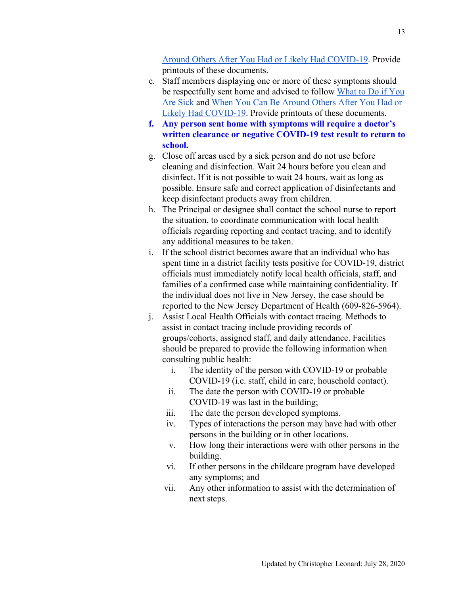[Around Others After You Had or Likely Had COVID-19.](https://www.cdc.gov/coronavirus/2019-ncov/if-you-are-sick/end-home-isolation.html?CDC_AA_refVal=https%3A%2F%2Fwww.cdc.gov%2Fcoronavirus%2F2019-ncov%2Fprevent-getting-sick%2Fwhen-its-safe.html) Provide printouts of these documents.

- e. Staff members displaying one or more of these symptoms should be respectfully sent home and advised to follow [What to Do if You](https://www.cdc.gov/coronavirus/2019-ncov/if-you-are-sick/steps-when-sick.html) [Are Sick](https://www.cdc.gov/coronavirus/2019-ncov/if-you-are-sick/steps-when-sick.html) and [When You Can Be Around Others After You Had or](https://www.cdc.gov/coronavirus/2019-ncov/if-you-are-sick/end-home-isolation.html?CDC_AA_refVal=https%3A%2F%2Fwww.cdc.gov%2Fcoronavirus%2F2019-ncov%2Fprevent-getting-sick%2Fwhen-its-safe.html) [Likely Had COVID-19](https://www.cdc.gov/coronavirus/2019-ncov/if-you-are-sick/end-home-isolation.html?CDC_AA_refVal=https%3A%2F%2Fwww.cdc.gov%2Fcoronavirus%2F2019-ncov%2Fprevent-getting-sick%2Fwhen-its-safe.html). Provide printouts of these documents.
- **f. Any person sent home with symptoms will require a doctor's written clearance or negative COVID-19 test result to return to school.**
- g. Close off areas used by a sick person and do not use before cleaning and disinfection. Wait 24 hours before you clean and disinfect. If it is not possible to wait 24 hours, wait as long as possible. Ensure safe and correct application of disinfectants and keep disinfectant products away from children.
- h. The Principal or designee shall contact the school nurse to report the situation, to coordinate communication with local health officials regarding reporting and contact tracing, and to identify any additional measures to be taken.
- i. If the school district becomes aware that an individual who has spent time in a district facility tests positive for COVID-19, district officials must immediately notify local health officials, staff, and families of a confirmed case while maintaining confidentiality. If the individual does not live in New Jersey, the case should be reported to the New Jersey Department of Health (609-826-5964).
- j. Assist Local Health Officials with contact tracing. Methods to assist in contact tracing include providing records of groups/cohorts, assigned staff, and daily attendance. Facilities should be prepared to provide the following information when consulting public health:
	- i. The identity of the person with COVID-19 or probable COVID-19 (i.e. staff, child in care, household contact).
	- ii. The date the person with COVID-19 or probable COVID-19 was last in the building;
	- iii. The date the person developed symptoms.
	- iv. Types of interactions the person may have had with other persons in the building or in other locations.
	- v. How long their interactions were with other persons in the building.
	- vi. If other persons in the childcare program have developed any symptoms; and
	- vii. Any other information to assist with the determination of next steps.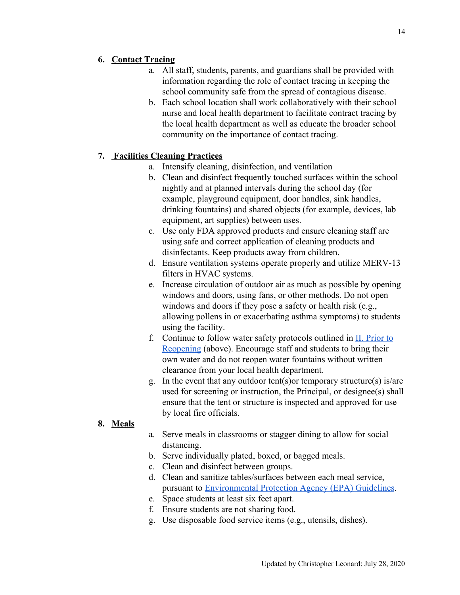# <span id="page-14-0"></span>**6. Contact Tracing**

- a. All staff, students, parents, and guardians shall be provided with information regarding the role of contact tracing in keeping the school community safe from the spread of contagious disease.
- b. Each school location shall work collaboratively with their school nurse and local health department to facilitate contract tracing by the local health department as well as educate the broader school community on the importance of contact tracing.

# <span id="page-14-1"></span>**7. Facilities Cleaning Practices**

- a. Intensify cleaning, disinfection, and ventilation
- b. Clean and disinfect frequently touched surfaces within the school nightly and at planned intervals during the school day (for example, playground equipment, door handles, sink handles, drinking fountains) and shared objects (for example, devices, lab equipment, art supplies) between uses.
- c. Use only FDA approved products and ensure cleaning staff are using safe and correct application of cleaning products and disinfectants. Keep products away from children.
- d. Ensure ventilation systems operate properly and utilize MERV-13 filters in HVAC systems.
- e. Increase circulation of outdoor air as much as possible by opening windows and doors, using fans, or other methods. Do not open windows and doors if they pose a safety or health risk (e.g., allowing pollens in or exacerbating asthma symptoms) to students using the facility.
- f. Continue to follow water safety protocols outlined in  $II$ . Prior to [Reopening](#page-7-2) (above). Encourage staff and students to bring their own water and do not reopen water fountains without written clearance from your local health department.
- g. In the event that any outdoor tent(s)or temporary structure(s) is/are used for screening or instruction, the Principal, or designee(s) shall ensure that the tent or structure is inspected and approved for use by local fire officials.

# <span id="page-14-2"></span>**8. Meals**

- a. Serve meals in classrooms or stagger dining to allow for social distancing.
- b. Serve individually plated, boxed, or bagged meals.
- c. Clean and disinfect between groups.
- d. Clean and sanitize tables/surfaces between each meal service, pursuant to [Environmental Protection Agency \(EPA\) Guidelines](https://www.epa.gov/sites/production/files/2020-04/documents/316485-c_reopeningamerica_guidance_4.19_6pm.pdf).
- e. Space students at least six feet apart.
- f. Ensure students are not sharing food.
- g. Use disposable food service items (e.g., utensils, dishes).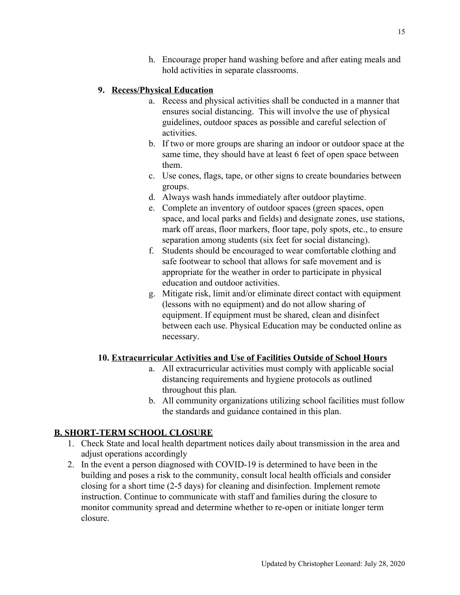h. Encourage proper hand washing before and after eating meals and hold activities in separate classrooms.

# <span id="page-15-0"></span>**9. Recess/Physical Education**

- a. Recess and physical activities shall be conducted in a manner that ensures social distancing. This will involve the use of physical guidelines, outdoor spaces as possible and careful selection of activities.
- b. If two or more groups are sharing an indoor or outdoor space at the same time, they should have at least 6 feet of open space between them.
- c. Use cones, flags, tape, or other signs to create boundaries between groups.
- d. Always wash hands immediately after outdoor playtime.
- e. Complete an inventory of outdoor spaces (green spaces, open space, and local parks and fields) and designate zones, use stations, mark off areas, floor markers, floor tape, poly spots, etc., to ensure separation among students (six feet for social distancing).
- f. Students should be encouraged to wear comfortable clothing and safe footwear to school that allows for safe movement and is appropriate for the weather in order to participate in physical education and outdoor activities.
- g. Mitigate risk, limit and/or eliminate direct contact with equipment (lessons with no equipment) and do not allow sharing of equipment. If equipment must be shared, clean and disinfect between each use. Physical Education may be conducted online as necessary.

# <span id="page-15-1"></span>**10. Extracurricular Activities and Use of Facilities Outside of School Hours**

- a. All extracurricular activities must comply with applicable social distancing requirements and hygiene protocols as outlined throughout this plan.
- b. All community organizations utilizing school facilities must follow the standards and guidance contained in this plan.

# <span id="page-15-2"></span>**B. SHORT-TERM SCHOOL CLOSURE**

- 1. Check State and local health department notices daily about transmission in the area and adjust operations accordingly
- 2. In the event a person diagnosed with COVID-19 is determined to have been in the building and poses a risk to the community, consult local health officials and consider closing for a short time (2-5 days) for cleaning and disinfection. Implement remote instruction. Continue to communicate with staff and families during the closure to monitor community spread and determine whether to re-open or initiate longer term closure.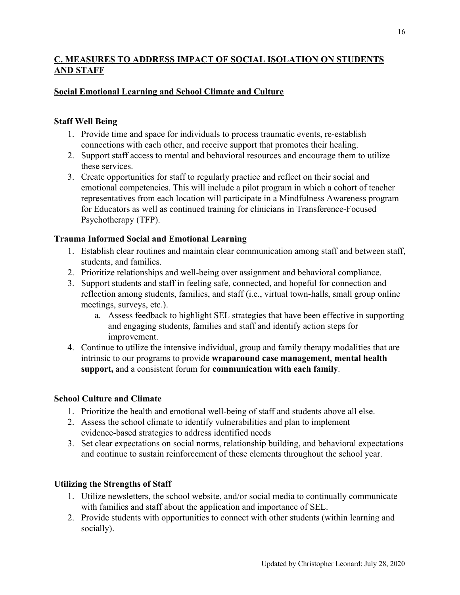# <span id="page-16-0"></span>**C. MEASURES TO ADDRESS IMPACT OF SOCIAL ISOLATION ON STUDENTS AND STAFF**

# <span id="page-16-1"></span>**Social Emotional Learning and School Climate and Culture**

# <span id="page-16-2"></span>**Staff Well Being**

- 1. Provide time and space for individuals to process traumatic events, re-establish connections with each other, and receive support that promotes their healing.
- 2. Support staff access to mental and behavioral resources and encourage them to utilize these services.
- 3. Create opportunities for staff to regularly practice and reflect on their social and emotional competencies. This will include a pilot program in which a cohort of teacher representatives from each location will participate in a Mindfulness Awareness program for Educators as well as continued training for clinicians in Transference-Focused Psychotherapy (TFP).

# <span id="page-16-3"></span>**Trauma Informed Social and Emotional Learning**

- 1. Establish clear routines and maintain clear communication among staff and between staff, students, and families.
- 2. Prioritize relationships and well-being over assignment and behavioral compliance.
- 3. Support students and staff in feeling safe, connected, and hopeful for connection and reflection among students, families, and staff (i.e., virtual town-halls, small group online meetings, surveys, etc.).
	- a. Assess feedback to highlight SEL strategies that have been effective in supporting and engaging students, families and staff and identify action steps for improvement.
- 4. Continue to utilize the intensive individual, group and family therapy modalities that are intrinsic to our programs to provide **wraparound case management**, **mental health support,** and a consistent forum for **communication with each family**.

# <span id="page-16-4"></span>**School Culture and Climate**

- 1. Prioritize the health and emotional well-being of staff and students above all else.
- 2. Assess the school climate to identify vulnerabilities and plan to implement evidence-based strategies to address identified needs
- 3. Set clear expectations on social norms, relationship building, and behavioral expectations and continue to sustain reinforcement of these elements throughout the school year.

# <span id="page-16-5"></span>**Utilizing the Strengths of Staff**

- 1. Utilize newsletters, the school website, and/or social media to continually communicate with families and staff about the application and importance of SEL.
- 2. Provide students with opportunities to connect with other students (within learning and socially).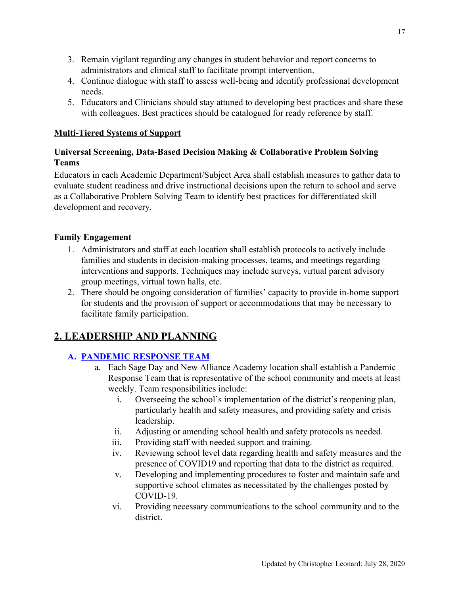- 3. Remain vigilant regarding any changes in student behavior and report concerns to administrators and clinical staff to facilitate prompt intervention.
- 4. Continue dialogue with staff to assess well-being and identify professional development needs.
- 5. Educators and Clinicians should stay attuned to developing best practices and share these with colleagues. Best practices should be catalogued for ready reference by staff.

### <span id="page-17-0"></span>**Multi-Tiered Systems of Support**

# <span id="page-17-1"></span>**Universal Screening, Data-Based Decision Making & Collaborative Problem Solving Teams**

Educators in each Academic Department/Subject Area shall establish measures to gather data to evaluate student readiness and drive instructional decisions upon the return to school and serve as a Collaborative Problem Solving Team to identify best practices for differentiated skill development and recovery.

# <span id="page-17-2"></span>**Family Engagement**

- 1. Administrators and staff at each location shall establish protocols to actively include families and students in decision-making processes, teams, and meetings regarding interventions and supports. Techniques may include surveys, virtual parent advisory group meetings, virtual town halls, etc.
- 2. There should be ongoing consideration of families' capacity to provide in-home support for students and the provision of support or accommodations that may be necessary to facilitate family participation.

# <span id="page-17-3"></span>**2. LEADERSHIP AND PLANNING**

# <span id="page-17-4"></span>**A. PANDEMIC RESPONSE TEAM**

- a. Each Sage Day and New Alliance Academy location shall establish a Pandemic Response Team that is representative of the school community and meets at least weekly. Team responsibilities include:
	- i. Overseeing the school's implementation of the district's reopening plan, particularly health and safety measures, and providing safety and crisis leadership.
	- ii. Adjusting or amending school health and safety protocols as needed.
	- iii. Providing staff with needed support and training.
	- iv. Reviewing school level data regarding health and safety measures and the presence of COVID19 and reporting that data to the district as required.
	- v. Developing and implementing procedures to foster and maintain safe and supportive school climates as necessitated by the challenges posted by COVID-19.
	- vi. Providing necessary communications to the school community and to the district.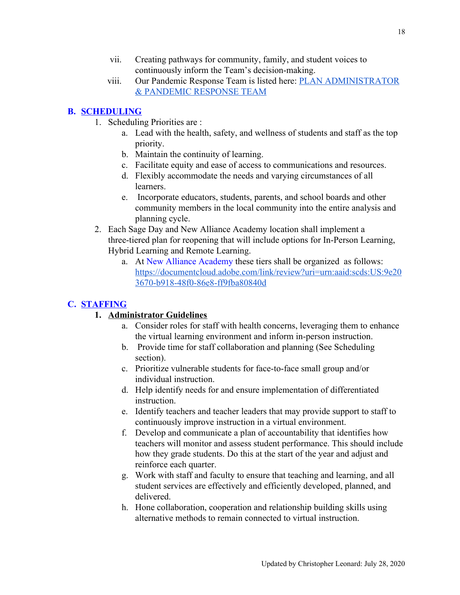- vii. Creating pathways for community, family, and student voices to continuously inform the Team's decision-making.
- viii. Our Pandemic Response Team is listed here: [PLAN ADMINISTRATOR](#page-3-2) [& PANDEMIC RESPONSE TEAM](#page-3-2)

# <span id="page-18-0"></span>**B. SCHEDULING**

- 1. Scheduling Priorities are :
	- a. Lead with the health, safety, and wellness of students and staff as the top priority.
	- b. Maintain the continuity of learning.
	- c. Facilitate equity and ease of access to communications and resources.
	- d. Flexibly accommodate the needs and varying circumstances of all learners.
	- e. Incorporate educators, students, parents, and school boards and other community members in the local community into the entire analysis and planning cycle.
- 2. Each Sage Day and New Alliance Academy location shall implement a three-tiered plan for reopening that will include options for In-Person Learning, Hybrid Learning and Remote Learning.
	- a. At New Alliance Academy these tiers shall be organized as follows: [https://documentcloud.adobe.com/link/review?uri=urn:aaid:scds:US:9e20](https://documentcloud.adobe.com/link/review?uri=urn:aaid:scds:US:9e203670-b918-48f0-86e8-ff9fba80840d) [3670-b918-48f0-86e8-ff9fba80840d](https://documentcloud.adobe.com/link/review?uri=urn:aaid:scds:US:9e203670-b918-48f0-86e8-ff9fba80840d)

# <span id="page-18-2"></span><span id="page-18-1"></span>**C. STAFFING**

# **1. Administrator Guidelines**

- a. Consider roles for staff with health concerns, leveraging them to enhance the virtual learning environment and inform in-person instruction.
- b. Provide time for staff collaboration and planning (See Scheduling section).
- c. Prioritize vulnerable students for face-to-face small group and/or individual instruction.
- d. Help identify needs for and ensure implementation of differentiated instruction.
- e. Identify teachers and teacher leaders that may provide support to staff to continuously improve instruction in a virtual environment.
- f. Develop and communicate a plan of accountability that identifies how teachers will monitor and assess student performance. This should include how they grade students. Do this at the start of the year and adjust and reinforce each quarter.
- g. Work with staff and faculty to ensure that teaching and learning, and all student services are effectively and efficiently developed, planned, and delivered.
- h. Hone collaboration, cooperation and relationship building skills using alternative methods to remain connected to virtual instruction.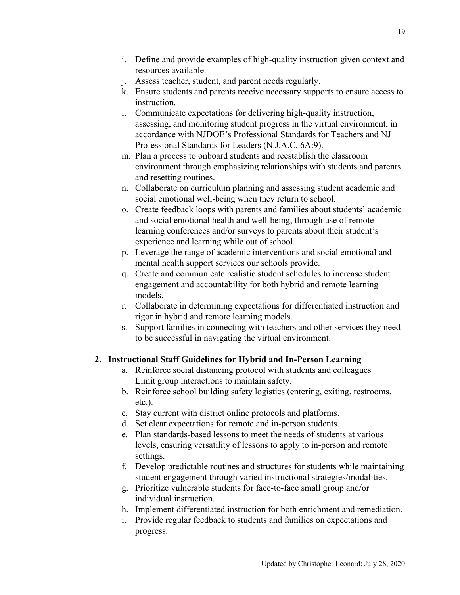- i. Define and provide examples of high-quality instruction given context and resources available.
- j. Assess teacher, student, and parent needs regularly.
- k. Ensure students and parents receive necessary supports to ensure access to instruction.
- l. Communicate expectations for delivering high-quality instruction, assessing, and monitoring student progress in the virtual environment, in accordance with NJDOE's Professional Standards for Teachers and NJ Professional Standards for Leaders (N.J.A.C. 6A:9).
- m. Plan a process to onboard students and reestablish the classroom environment through emphasizing relationships with students and parents and resetting routines.
- n. Collaborate on curriculum planning and assessing student academic and social emotional well-being when they return to school.
- o. Create feedback loops with parents and families about students' academic and social emotional health and well-being, through use of remote learning conferences and/or surveys to parents about their student's experience and learning while out of school.
- p. Leverage the range of academic interventions and social emotional and mental health support services our schools provide.
- q. Create and communicate realistic student schedules to increase student engagement and accountability for both hybrid and remote learning models.
- r. Collaborate in determining expectations for differentiated instruction and rigor in hybrid and remote learning models.
- s. Support families in connecting with teachers and other services they need to be successful in navigating the virtual environment.

# <span id="page-19-0"></span>**2. Instructional Staff Guidelines for Hybrid and In-Person Learning**

- a. Reinforce social distancing protocol with students and colleagues Limit group interactions to maintain safety.
- b. Reinforce school building safety logistics (entering, exiting, restrooms, etc.).
- c. Stay current with district online protocols and platforms.
- d. Set clear expectations for remote and in-person students.
- e. Plan standards-based lessons to meet the needs of students at various levels, ensuring versatility of lessons to apply to in-person and remote settings.
- f. Develop predictable routines and structures for students while maintaining student engagement through varied instructional strategies/modalities.
- g. Prioritize vulnerable students for face-to-face small group and/or individual instruction.
- h. Implement differentiated instruction for both enrichment and remediation.
- i. Provide regular feedback to students and families on expectations and progress.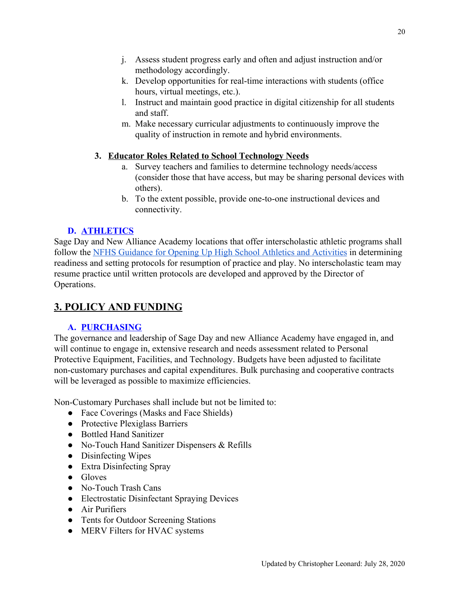- j. Assess student progress early and often and adjust instruction and/or methodology accordingly.
- k. Develop opportunities for real-time interactions with students (office hours, virtual meetings, etc.).
- l. Instruct and maintain good practice in digital citizenship for all students and staff.
- m. Make necessary curricular adjustments to continuously improve the quality of instruction in remote and hybrid environments.

# <span id="page-20-0"></span>**3. Educator Roles Related to School Technology Needs**

- a. Survey teachers and families to determine technology needs/access (consider those that have access, but may be sharing personal devices with others).
- b. To the extent possible, provide one-to-one instructional devices and connectivity.

# **D. ATHLETICS**

<span id="page-20-1"></span>Sage Day and New Alliance Academy locations that offer interscholastic athletic programs shall follow the [NFHS Guidance for Opening Up High School Athletics and Activities](https://www.nfhs.org/media/3812287/2020-nfhs-guidance-for-opening-up-high-school-athletics-and-activities-nfhs-smac-may-15_2020-final.pdf) in determining readiness and setting protocols for resumption of practice and play. No interscholastic team may resume practice until written protocols are developed and approved by the Director of Operations.

# <span id="page-20-2"></span>**3. POLICY AND FUNDING**

# **A. PURCHASING**

<span id="page-20-3"></span>The governance and leadership of Sage Day and new Alliance Academy have engaged in, and will continue to engage in, extensive research and needs assessment related to Personal Protective Equipment, Facilities, and Technology. Budgets have been adjusted to facilitate non-customary purchases and capital expenditures. Bulk purchasing and cooperative contracts will be leveraged as possible to maximize efficiencies.

Non-Customary Purchases shall include but not be limited to:

- Face Coverings (Masks and Face Shields)
- Protective Plexiglass Barriers
- Bottled Hand Sanitizer
- No-Touch Hand Sanitizer Dispensers & Refills
- Disinfecting Wipes
- Extra Disinfecting Spray
- Gloves
- No-Touch Trash Cans
- Electrostatic Disinfectant Spraying Devices
- Air Purifiers
- Tents for Outdoor Screening Stations
- MERV Filters for HVAC systems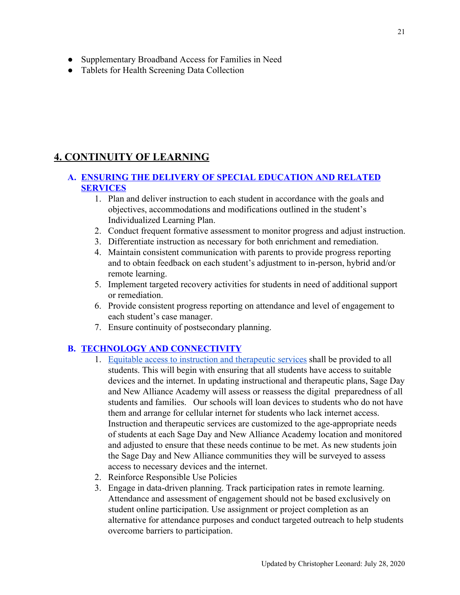- Supplementary Broadband Access for Families in Need
- Tablets for Health Screening Data Collection

# <span id="page-21-0"></span>**4. CONTINUITY OF LEARNING**

# <span id="page-21-1"></span>**A. ENSURING THE DELIVERY OF SPECIAL EDUCATION AND RELATED SERVICES**

- 1. Plan and deliver instruction to each student in accordance with the goals and objectives, accommodations and modifications outlined in the student's Individualized Learning Plan.
- 2. Conduct frequent formative assessment to monitor progress and adjust instruction.
- 3. Differentiate instruction as necessary for both enrichment and remediation.
- 4. Maintain consistent communication with parents to provide progress reporting and to obtain feedback on each student's adjustment to in-person, hybrid and/or remote learning.
- 5. Implement targeted recovery activities for students in need of additional support or remediation.
- 6. Provide consistent progress reporting on attendance and level of engagement to each student's case manager.
- 7. Ensure continuity of postsecondary planning.

# <span id="page-21-2"></span>**B. TECHNOLOGY AND CONNECTIVITY**

- 1. [Equitable access to instruction and therapeutic services](#page-26-1) shall be provided to all students. This will begin with ensuring that all students have access to suitable devices and the internet. In updating instructional and therapeutic plans, Sage Day and New Alliance Academy will assess or reassess the digital preparedness of all students and families. Our schools will loan devices to students who do not have them and arrange for cellular internet for students who lack internet access. Instruction and therapeutic services are customized to the age-appropriate needs of students at each Sage Day and New Alliance Academy location and monitored and adjusted to ensure that these needs continue to be met. As new students join the Sage Day and New Alliance communities they will be surveyed to assess access to necessary devices and the internet.
- 2. Reinforce Responsible Use Policies
- 3. Engage in data-driven planning. Track participation rates in remote learning. Attendance and assessment of engagement should not be based exclusively on student online participation. Use assignment or project completion as an alternative for attendance purposes and conduct targeted outreach to help students overcome barriers to participation.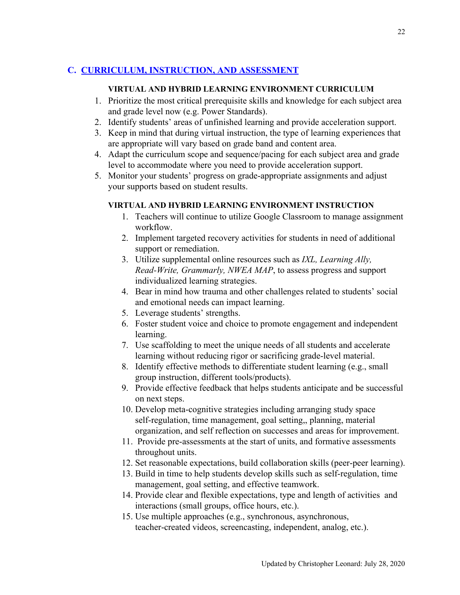# <span id="page-22-1"></span><span id="page-22-0"></span>**C. CURRICULUM, INSTRUCTION, AND ASSESSMENT**

### **VIRTUAL AND HYBRID LEARNING ENVIRONMENT CURRICULUM**

- 1. Prioritize the most critical prerequisite skills and knowledge for each subject area and grade level now (e.g. Power Standards).
- 2. Identify students' areas of unfinished learning and provide acceleration support.
- 3. Keep in mind that during virtual instruction, the type of learning experiences that are appropriate will vary based on grade band and content area.
- 4. Adapt the curriculum scope and sequence/pacing for each subject area and grade level to accommodate where you need to provide acceleration support.
- <span id="page-22-2"></span>5. Monitor your students' progress on grade-appropriate assignments and adjust your supports based on student results.

# **VIRTUAL AND HYBRID LEARNING ENVIRONMENT INSTRUCTION**

- 1. Teachers will continue to utilize Google Classroom to manage assignment workflow.
- 2. Implement targeted recovery activities for students in need of additional support or remediation.
- 3. Utilize supplemental online resources such as *IXL, Learning Ally, Read-Write, Grammarly, NWEA MAP*, to assess progress and support individualized learning strategies.
- 4. Bear in mind how trauma and other challenges related to students' social and emotional needs can impact learning.
- 5. Leverage students' strengths.
- 6. Foster student voice and choice to promote engagement and independent learning.
- 7. Use scaffolding to meet the unique needs of all students and accelerate learning without reducing rigor or sacrificing grade-level material.
- 8. Identify effective methods to differentiate student learning (e.g., small group instruction, different tools/products).
- 9. Provide effective feedback that helps students anticipate and be successful on next steps.
- 10. Develop meta-cognitive strategies including arranging study space self-regulation, time management, goal setting,, planning, material organization, and self reflection on successes and areas for improvement.
- 11. Provide pre-assessments at the start of units, and formative assessments throughout units.
- 12. Set reasonable expectations, build collaboration skills (peer-peer learning).
- 13. Build in time to help students develop skills such as self-regulation, time management, goal setting, and effective teamwork.
- 14. Provide clear and flexible expectations, type and length of activities and interactions (small groups, office hours, etc.).
- 15. Use multiple approaches (e.g., synchronous, asynchronous, teacher-created videos, screencasting, independent, analog, etc.).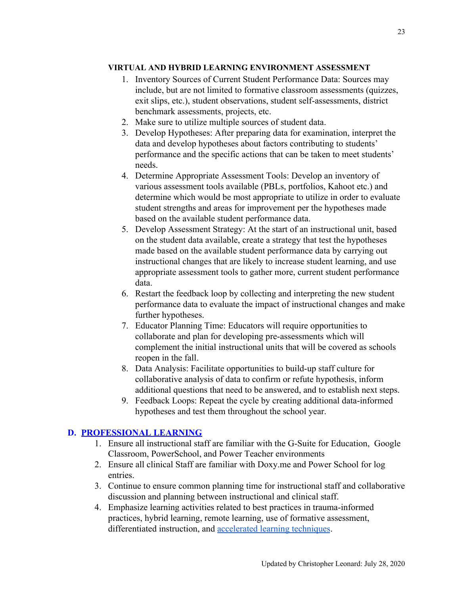#### <span id="page-23-0"></span>**VIRTUAL AND HYBRID LEARNING ENVIRONMENT ASSESSMENT**

- 1. Inventory Sources of Current Student Performance Data: Sources may include, but are not limited to formative classroom assessments (quizzes, exit slips, etc.), student observations, student self-assessments, district benchmark assessments, projects, etc.
- 2. Make sure to utilize multiple sources of student data.
- 3. Develop Hypotheses: After preparing data for examination, interpret the data and develop hypotheses about factors contributing to students' performance and the specific actions that can be taken to meet students' needs.
- 4. Determine Appropriate Assessment Tools: Develop an inventory of various assessment tools available (PBLs, portfolios, Kahoot etc.) and determine which would be most appropriate to utilize in order to evaluate student strengths and areas for improvement per the hypotheses made based on the available student performance data.
- 5. Develop Assessment Strategy: At the start of an instructional unit, based on the student data available, create a strategy that test the hypotheses made based on the available student performance data by carrying out instructional changes that are likely to increase student learning, and use appropriate assessment tools to gather more, current student performance data.
- 6. Restart the feedback loop by collecting and interpreting the new student performance data to evaluate the impact of instructional changes and make further hypotheses.
- 7. Educator Planning Time: Educators will require opportunities to collaborate and plan for developing pre-assessments which will complement the initial instructional units that will be covered as schools reopen in the fall.
- 8. Data Analysis: Facilitate opportunities to build-up staff culture for collaborative analysis of data to confirm or refute hypothesis, inform additional questions that need to be answered, and to establish next steps.
- 9. Feedback Loops: Repeat the cycle by creating additional data-informed hypotheses and test them throughout the school year.

# <span id="page-23-1"></span>**D. PROFESSIONAL LEARNING**

- 1. Ensure all instructional staff are familiar with the G-Suite for Education, Google Classroom, PowerSchool, and Power Teacher environments
- 2. Ensure all clinical Staff are familiar with Doxy.me and Power School for log entries.
- 3. Continue to ensure common planning time for instructional staff and collaborative discussion and planning between instructional and clinical staff.
- 4. Emphasize learning activities related to best practices in trauma-informed practices, hybrid learning, remote learning, use of formative assessment, differentiated instruction, and [accelerated learning techniques.](https://richardjamesrogers.com/2017/06/05/the-top-five-accelerated-learning-techniques-every-teacher-needs-to-know/)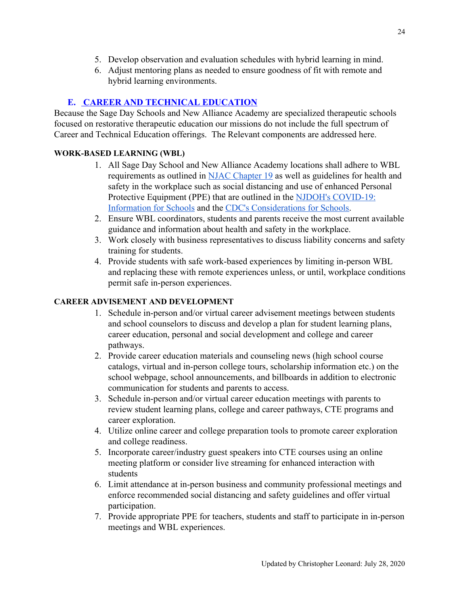- 5. Develop observation and evaluation schedules with hybrid learning in mind.
- 6. Adjust mentoring plans as needed to ensure goodness of fit with remote and hybrid learning environments.

# **E. CAREER AND TECHNICAL EDUCATION**

<span id="page-24-0"></span>Because the Sage Day Schools and New Alliance Academy are specialized therapeutic schools focused on restorative therapeutic education our missions do not include the full spectrum of Career and Technical Education offerings. The Relevant components are addressed here.

# <span id="page-24-1"></span>**WORK-BASED LEARNING (WBL)**

- 1. All Sage Day School and New Alliance Academy locations shall adhere to WBL requirements as outlined in [NJAC Chapter 19](https://www.nj.gov/education/code/current/title6a/chap19.pdf) as well as guidelines for health and safety in the workplace such as social distancing and use of enhanced Personal Protective Equipment (PPE) that are outlined in the [NJDOH's COVID-19:](https://www.nj.gov/health/cd/topics/covid2019_schools.shtml) [Information for Schools](https://www.nj.gov/health/cd/topics/covid2019_schools.shtml) and the [CDC's Considerations for Schools.](https://www.cdc.gov/coronavirus/2019-ncov/community/schools-childcare/schools.html)
- 2. Ensure WBL coordinators, students and parents receive the most current available guidance and information about health and safety in the workplace.
- 3. Work closely with business representatives to discuss liability concerns and safety training for students.
- 4. Provide students with safe work-based experiences by limiting in-person WBL and replacing these with remote experiences unless, or until, workplace conditions permit safe in-person experiences.

# <span id="page-24-2"></span>**CAREER ADVISEMENT AND DEVELOPMENT**

- 1. Schedule in-person and/or virtual career advisement meetings between students and school counselors to discuss and develop a plan for student learning plans, career education, personal and social development and college and career pathways.
- 2. Provide career education materials and counseling news (high school course catalogs, virtual and in-person college tours, scholarship information etc.) on the school webpage, school announcements, and billboards in addition to electronic communication for students and parents to access.
- 3. Schedule in-person and/or virtual career education meetings with parents to review student learning plans, college and career pathways, CTE programs and career exploration.
- 4. Utilize online career and college preparation tools to promote career exploration and college readiness.
- 5. Incorporate career/industry guest speakers into CTE courses using an online meeting platform or consider live streaming for enhanced interaction with students
- 6. Limit attendance at in-person business and community professional meetings and enforce recommended social distancing and safety guidelines and offer virtual participation.
- 7. Provide appropriate PPE for teachers, students and staff to participate in in-person meetings and WBL experiences.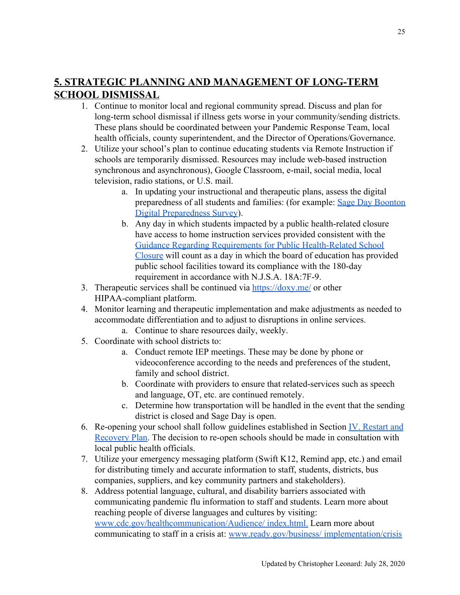# <span id="page-25-0"></span>**5. STRATEGIC PLANNING AND MANAGEMENT OF LONG-TERM SCHOOL DISMISSAL**

- 1. Continue to monitor local and regional community spread. Discuss and plan for long-term school dismissal if illness gets worse in your community/sending districts. These plans should be coordinated between your Pandemic Response Team, local health officials, county superintendent, and the Director of Operations/Governance.
- 2. Utilize your school's plan to continue educating students via Remote Instruction if schools are temporarily dismissed. Resources may include web-based instruction synchronous and asynchronous), Google Classroom, e-mail, social media, local television, radio stations, or U.S. mail.
	- a. In updating your instructional and therapeutic plans, assess the digital preparedness of all students and families: (for example: [Sage Day Boonton](https://docs.google.com/forms/d/119Kz6HoIE3QDuNQRJZGdmude4pAqd4LB2mSaJUp7j_E/edit) [Digital Preparedness Survey](https://docs.google.com/forms/d/119Kz6HoIE3QDuNQRJZGdmude4pAqd4LB2mSaJUp7j_E/edit)).
	- b. Any day in which students impacted by a public health-related closure have access to home instruction services provided consistent with the [Guidance Regarding Requirements for Public Health-Related School](https://www.nj.gov/education/broadcasts/2020/mar/05/Guidance%20Regarding%20Requirements%20for%20Public%20Health-Related%20School%20Closure.pdf) [Closure](https://www.nj.gov/education/broadcasts/2020/mar/05/Guidance%20Regarding%20Requirements%20for%20Public%20Health-Related%20School%20Closure.pdf) will count as a day in which the board of education has provided public school facilities toward its compliance with the 180-day requirement in accordance with N.J.S.A. 18A:7F-9.
- 3. Therapeutic services shall be continued via <https://doxy.me/> or other HIPAA-compliant platform.
- 4. Monitor learning and therapeutic implementation and make adjustments as needed to accommodate differentiation and to adjust to disruptions in online services.
	- a. Continue to share resources daily, weekly.
- 5. Coordinate with school districts to:
	- a. Conduct remote IEP meetings. These may be done by phone or videoconference according to the needs and preferences of the student, family and school district.
	- b. Coordinate with providers to ensure that related-services such as speech and language, OT, etc. are continued remotely.
	- c. Determine how transportation will be handled in the event that the sending district is closed and Sage Day is open.
- 6. Re-opening your school shall follow guidelines established in Section IV. Restart and Recovery Plan. The decision to re-open schools should be made in consultation with local public health officials.
- 7. Utilize your emergency messaging platform (Swift K12, Remind app, etc.) and email for distributing timely and accurate information to staff, students, districts, bus companies, suppliers, and key community partners and stakeholders).
- 8. Address potential language, cultural, and disability barriers associated with communicating pandemic flu information to staff and students. Learn more about reaching people of diverse languages and cultures by visiting: [www.cdc.gov/healthcommunication/Audience/ index.html.](http://www.cdc.gov/healthcommunication/Audience/) Learn more about communicating to staff in a crisis at: [www.ready.gov/business/ implementation/crisis](http://www.ready.gov/business/)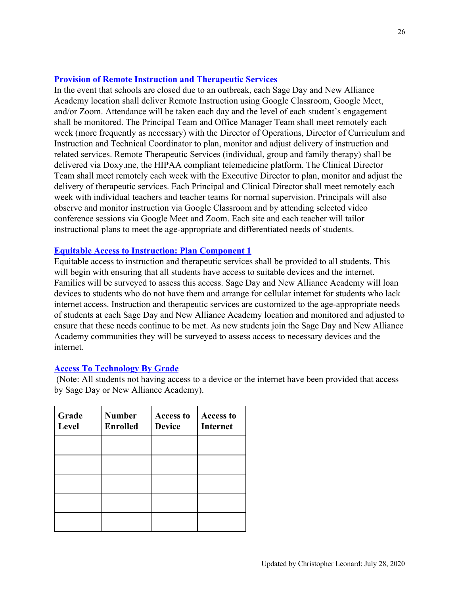#### <span id="page-26-0"></span>**Provision of Remote Instruction and Therapeutic Services**

In the event that schools are closed due to an outbreak, each Sage Day and New Alliance Academy location shall deliver Remote Instruction using Google Classroom, Google Meet, and/or Zoom. Attendance will be taken each day and the level of each student's engagement shall be monitored. The Principal Team and Office Manager Team shall meet remotely each week (more frequently as necessary) with the Director of Operations, Director of Curriculum and Instruction and Technical Coordinator to plan, monitor and adjust delivery of instruction and related services. Remote Therapeutic Services (individual, group and family therapy) shall be delivered via Doxy.me, the HIPAA compliant telemedicine platform. The Clinical Director Team shall meet remotely each week with the Executive Director to plan, monitor and adjust the delivery of therapeutic services. Each Principal and Clinical Director shall meet remotely each week with individual teachers and teacher teams for normal supervision. Principals will also observe and monitor instruction via Google Classroom and by attending selected video conference sessions via Google Meet and Zoom. Each site and each teacher will tailor instructional plans to meet the age-appropriate and differentiated needs of students.

### <span id="page-26-1"></span>**Equitable Access to Instruction: Plan Component 1**

Equitable access to instruction and therapeutic services shall be provided to all students. This will begin with ensuring that all students have access to suitable devices and the internet. Families will be surveyed to assess this access. Sage Day and New Alliance Academy will loan devices to students who do not have them and arrange for cellular internet for students who lack internet access. Instruction and therapeutic services are customized to the age-appropriate needs of students at each Sage Day and New Alliance Academy location and monitored and adjusted to ensure that these needs continue to be met. As new students join the Sage Day and New Alliance Academy communities they will be surveyed to assess access to necessary devices and the internet.

#### <span id="page-26-2"></span>**Access To Technology By Grade**

 (Note: All students not having access to a device or the internet have been provided that access by Sage Day or New Alliance Academy).

| Grade<br>Level | <b>Number</b><br><b>Enrolled</b> | <b>Access to</b><br><b>Device</b> | <b>Access to</b><br><b>Internet</b> |
|----------------|----------------------------------|-----------------------------------|-------------------------------------|
|                |                                  |                                   |                                     |
|                |                                  |                                   |                                     |
|                |                                  |                                   |                                     |
|                |                                  |                                   |                                     |
|                |                                  |                                   |                                     |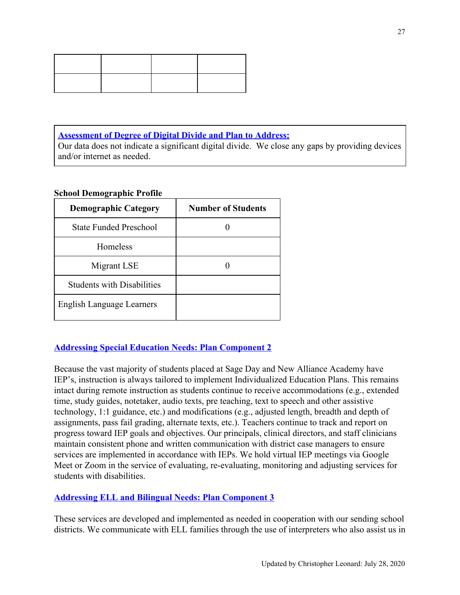<span id="page-27-0"></span>**Assessment of Degree of Digital Divide and Plan to Address:**

Our data does not indicate a significant digital divide. We close any gaps by providing devices and/or internet as needed.

### **School Demographic Profile**

| <b>Demographic Category</b>       | <b>Number of Students</b> |
|-----------------------------------|---------------------------|
| <b>State Funded Preschool</b>     |                           |
| <b>Homeless</b>                   |                           |
| Migrant LSE                       |                           |
| <b>Students with Disabilities</b> |                           |
| <b>English Language Learners</b>  |                           |

# <span id="page-27-1"></span>**Addressing Special Education Needs: Plan Component 2**

Because the vast majority of students placed at Sage Day and New Alliance Academy have IEP's, instruction is always tailored to implement Individualized Education Plans. This remains intact during remote instruction as students continue to receive accommodations (e.g., extended time, study guides, notetaker, audio texts, pre teaching, text to speech and other assistive technology, 1:1 guidance, etc.) and modifications (e.g., adjusted length, breadth and depth of assignments, pass fail grading, alternate texts, etc.). Teachers continue to track and report on progress toward IEP goals and objectives. Our principals, clinical directors, and staff clinicians maintain consistent phone and written communication with district case managers to ensure services are implemented in accordance with IEPs. We hold virtual IEP meetings via Google Meet or Zoom in the service of evaluating, re-evaluating, monitoring and adjusting services for students with disabilities.

# <span id="page-27-2"></span>**Addressing ELL and Bilingual Needs: Plan Component 3**

These services are developed and implemented as needed in cooperation with our sending school districts. We communicate with ELL families through the use of interpreters who also assist us in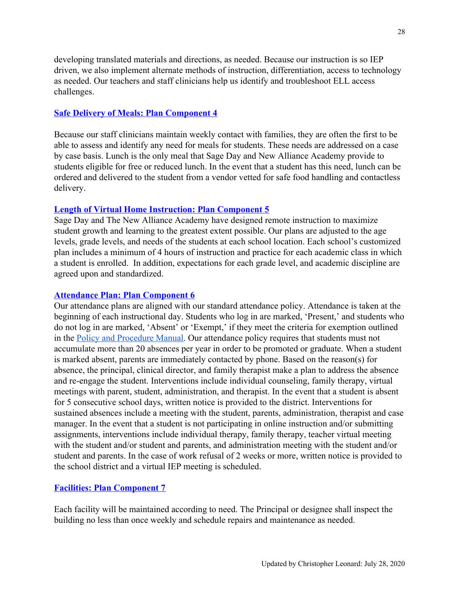developing translated materials and directions, as needed. Because our instruction is so IEP driven, we also implement alternate methods of instruction, differentiation, access to technology as needed. Our teachers and staff clinicians help us identify and troubleshoot ELL access challenges.

#### <span id="page-28-0"></span>**Safe Delivery of Meals: Plan Component 4**

Because our staff clinicians maintain weekly contact with families, they are often the first to be able to assess and identify any need for meals for students. These needs are addressed on a case by case basis. Lunch is the only meal that Sage Day and New Alliance Academy provide to students eligible for free or reduced lunch. In the event that a student has this need, lunch can be ordered and delivered to the student from a vendor vetted for safe food handling and contactless delivery.

#### <span id="page-28-1"></span>**Length of Virtual Home Instruction: Plan Component 5**

Sage Day and The New Alliance Academy have designed remote instruction to maximize student growth and learning to the greatest extent possible. Our plans are adjusted to the age levels, grade levels, and needs of the students at each school location. Each school's customized plan includes a minimum of 4 hours of instruction and practice for each academic class in which a student is enrolled. In addition, expectations for each grade level, and academic discipline are agreed upon and standardized.

#### <span id="page-28-2"></span>**Attendance Plan: Plan Component 6**

Our attendance plans are aligned with our standard attendance policy. Attendance is taken at the beginning of each instructional day. Students who log in are marked, 'Present,' and students who do not log in are marked, 'Absent' or 'Exempt,' if they meet the criteria for exemption outlined in the [Policy and Procedure Manual](https://docs.google.com/document/d/1qdRY5TBj8GlHZda2zjk1LCrior3qSTG7Mt_hlIGSa-A/edit#heading=h.7onbj5yydth0). Our attendance policy requires that students must not accumulate more than 20 absences per year in order to be promoted or graduate. When a student is marked absent, parents are immediately contacted by phone. Based on the reason(s) for absence, the principal, clinical director, and family therapist make a plan to address the absence and re-engage the student. Interventions include individual counseling, family therapy, virtual meetings with parent, student, administration, and therapist. In the event that a student is absent for 5 consecutive school days, written notice is provided to the district. Interventions for sustained absences include a meeting with the student, parents, administration, therapist and case manager. In the event that a student is not participating in online instruction and/or submitting assignments, interventions include individual therapy, family therapy, teacher virtual meeting with the student and/or student and parents, and administration meeting with the student and/or student and parents. In the case of work refusal of 2 weeks or more, written notice is provided to the school district and a virtual IEP meeting is scheduled.

#### <span id="page-28-3"></span>**Facilities: Plan Component 7**

Each facility will be maintained according to need. The Principal or designee shall inspect the building no less than once weekly and schedule repairs and maintenance as needed.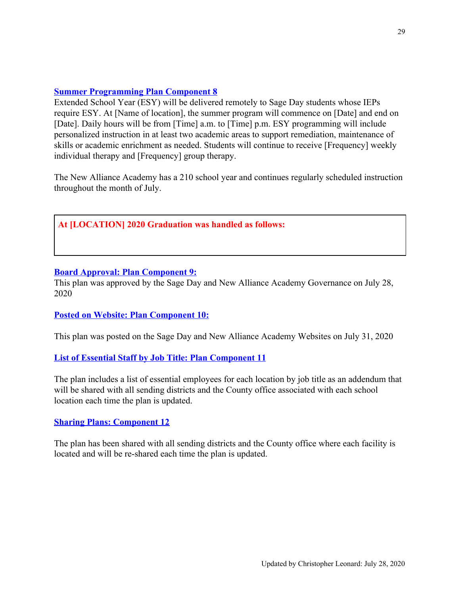### <span id="page-29-0"></span>**Summer Programming Plan Component 8**

Extended School Year (ESY) will be delivered remotely to Sage Day students whose IEPs require ESY. At [Name of location], the summer program will commence on [Date] and end on [Date]. Daily hours will be from [Time] a.m. to [Time] p.m. ESY programming will include personalized instruction in at least two academic areas to support remediation, maintenance of skills or academic enrichment as needed. Students will continue to receive [Frequency] weekly individual therapy and [Frequency] group therapy.

The New Alliance Academy has a 210 school year and continues regularly scheduled instruction throughout the month of July.

#### **At [LOCATION] 2020 Graduation was handled as follows:**

#### <span id="page-29-1"></span>**Board Approval: Plan Component 9:**

This plan was approved by the Sage Day and New Alliance Academy Governance on July 28, 2020

#### <span id="page-29-2"></span>**Posted on Website: Plan Component 10:**

This plan was posted on the Sage Day and New Alliance Academy Websites on July 31, 2020

#### <span id="page-29-3"></span>**List of Essential Staff by Job Title: Plan Component 11**

The plan includes a list of essential employees for each location by job title as an addendum that will be shared with all sending districts and the County office associated with each school location each time the plan is updated.

#### <span id="page-29-4"></span>**Sharing Plans: Component 12**

The plan has been shared with all sending districts and the County office where each facility is located and will be re-shared each time the plan is updated.